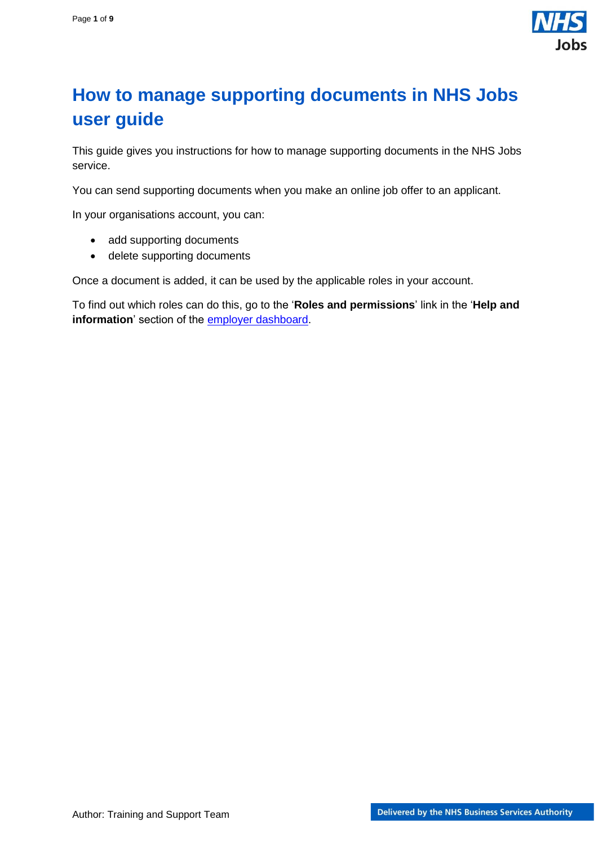

# <span id="page-0-0"></span>**How to manage supporting documents in NHS Jobs user guide**

This guide gives you instructions for how to manage supporting documents in the NHS Jobs service.

You can send supporting documents when you make an online job offer to an applicant.

In your organisations account, you can:

- add supporting documents
- delete supporting documents

Once a document is added, it can be used by the applicable roles in your account.

To find out which roles can do this, go to the '**Roles and permissions**' link in the '**Help and information**' section of the [employer dashboard.](https://beta.jobs.nhs.uk/home)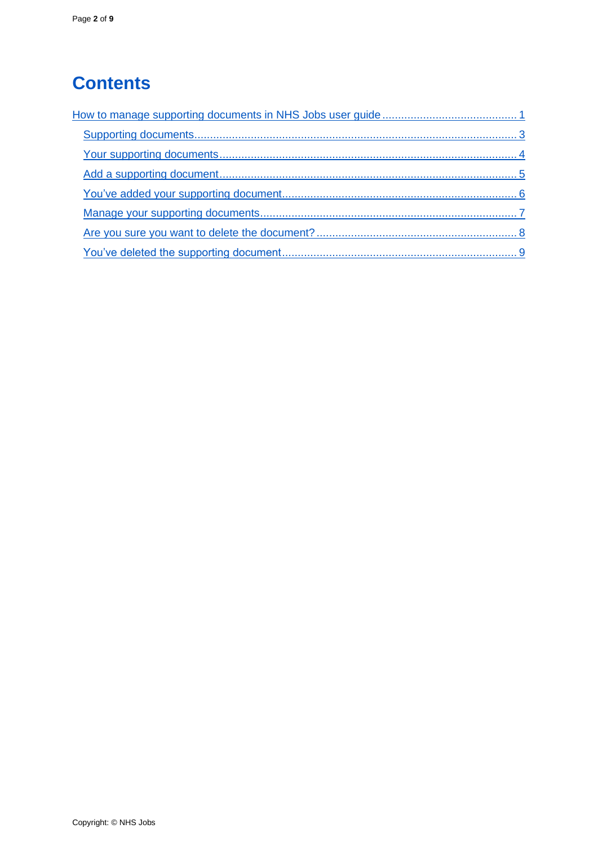# **Contents**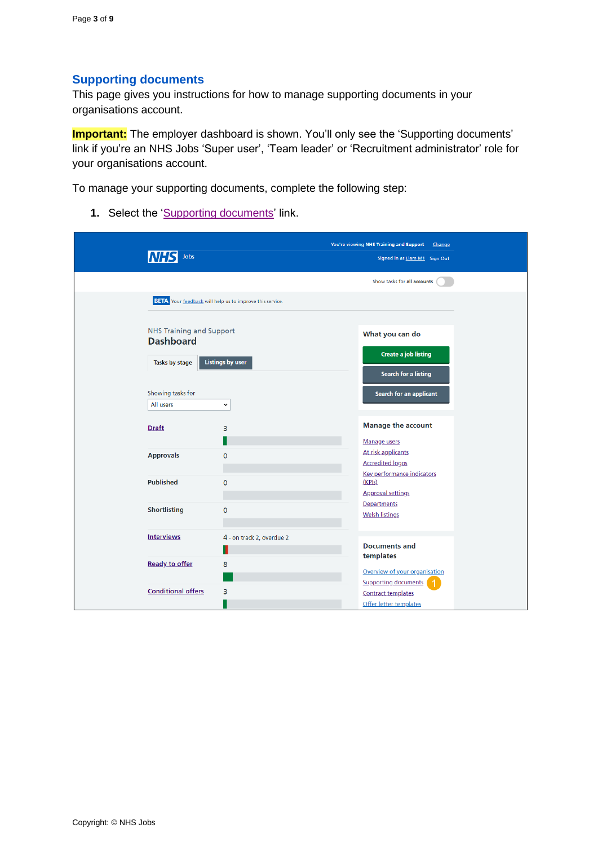### <span id="page-2-0"></span>**Supporting documents**

This page gives you instructions for how to manage supporting documents in your organisations account.

**Important:** The employer dashboard is shown. You'll only see the 'Supporting documents' link if you're an NHS Jobs 'Super user', 'Team leader' or 'Recruitment administrator' role for your organisations account.

To manage your supporting documents, complete the following step:

1. Select the ['Supporting documents'](#page-3-0) link.

| Jobs                                                |                                                                 | You're viewing NHS Training and Support<br>Change   |
|-----------------------------------------------------|-----------------------------------------------------------------|-----------------------------------------------------|
|                                                     |                                                                 | Signed in as Liam M1 Sign Out                       |
|                                                     |                                                                 | Show tasks for all accounts                         |
|                                                     | <b>BETA</b> Your feedback will help us to improve this service. |                                                     |
| <b>NHS Training and Support</b><br><b>Dashboard</b> |                                                                 | What you can do                                     |
| Tasks by stage                                      | <b>Listings by user</b>                                         | <b>Create a job listing</b><br>Search for a listing |
| Showing tasks for                                   |                                                                 | Search for an applicant                             |
| All users                                           | $\check{~}$                                                     |                                                     |
| <b>Draft</b>                                        | 3                                                               | <b>Manage the account</b>                           |
|                                                     |                                                                 | Manage users                                        |
| <b>Approvals</b>                                    | $\mathbf 0$                                                     | At risk applicants<br><b>Accredited logos</b>       |
| <b>Published</b>                                    | $\mathbf 0$                                                     | Key performance indicators<br>(KPIs)                |
|                                                     |                                                                 | <b>Approval settings</b>                            |
| Shortlisting                                        | $\mathbf 0$                                                     | Departments<br><b>Welsh listings</b>                |
| <b>Interviews</b>                                   | 4 - on track 2, overdue 2                                       |                                                     |
|                                                     |                                                                 | <b>Documents and</b><br>templates                   |
| <b>Ready to offer</b>                               | 8                                                               | Overview of your organisation                       |
|                                                     |                                                                 | <b>Supporting documents</b>                         |
| <b>Conditional offers</b>                           | 3                                                               | <b>Contract templates</b>                           |
|                                                     |                                                                 | Offer letter templates                              |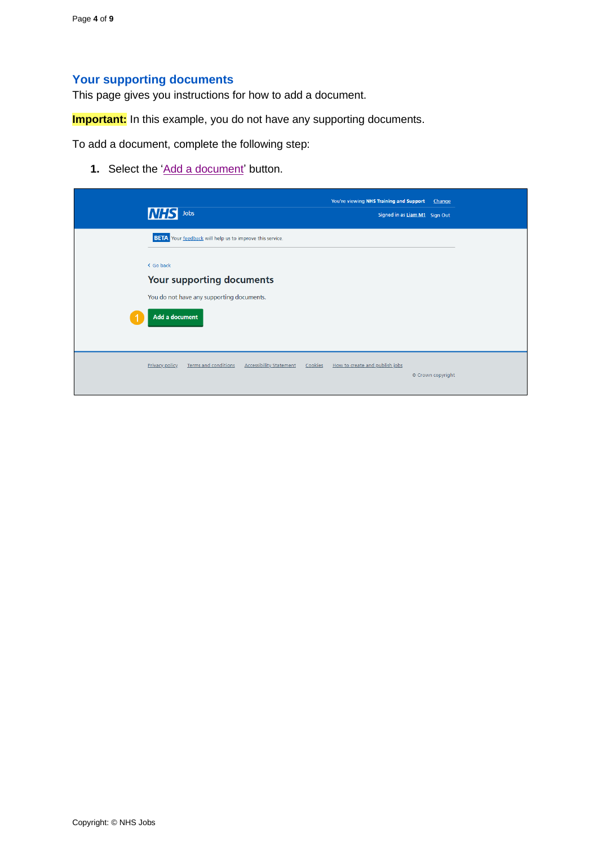## <span id="page-3-0"></span>**Your supporting documents**

This page gives you instructions for how to add a document.

**Important:** In this example, you do not have any supporting documents.

To add a document, complete the following step:

**1.** Select the ['Add a document'](#page-4-0) button.

| <b>NHS</b> Jobs                                                                                                                                                                 | You're viewing NHS Training and Support   | Change<br>Signed in as Liam M1 Sign Out |  |
|---------------------------------------------------------------------------------------------------------------------------------------------------------------------------------|-------------------------------------------|-----------------------------------------|--|
| <b>BETA</b> Your feedback will help us to improve this service.<br>< Go back<br>Your supporting documents<br>You do not have any supporting documents.<br><b>Add a document</b> |                                           |                                         |  |
| Privacy policy<br><b>Terms and conditions</b><br><b>Accessibility Statement</b>                                                                                                 | How to create and publish jobs<br>Cookies | © Crown copyright                       |  |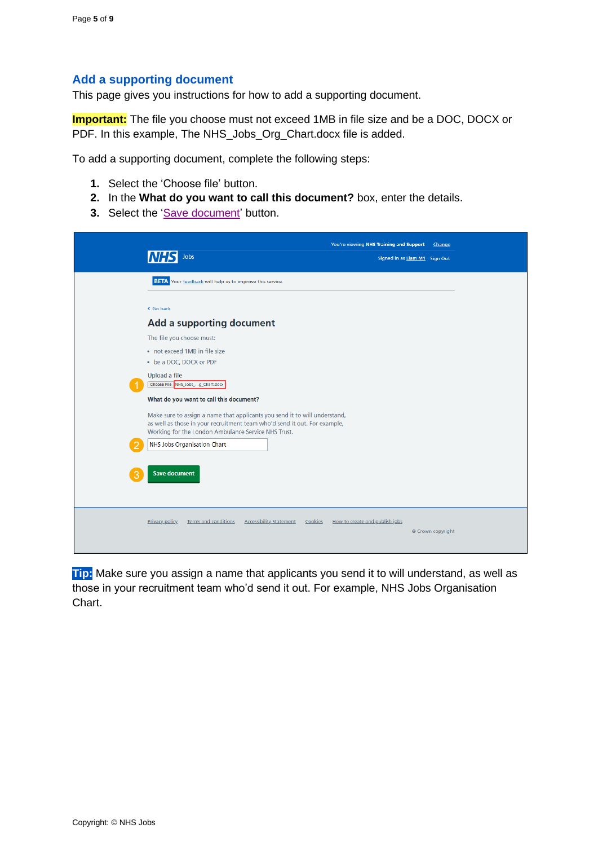#### <span id="page-4-0"></span>**Add a supporting document**

This page gives you instructions for how to add a supporting document.

**Important:** The file you choose must not exceed 1MB in file size and be a DOC, DOCX or PDF. In this example, The NHS\_Jobs\_Org\_Chart.docx file is added.

To add a supporting document, complete the following steps:

- **1.** Select the 'Choose file' button.
- **2.** In the **What do you want to call this document?** box, enter the details.
- **3.** Select the ['Save document'](#page-5-0) button.

| Jobs                                                                                                                                                                                                           | You're viewing NHS Training and Support<br>Signed in as Liam M1 Sign Out | Change            |
|----------------------------------------------------------------------------------------------------------------------------------------------------------------------------------------------------------------|--------------------------------------------------------------------------|-------------------|
| <b>BETA</b> Your feedback will help us to improve this service.                                                                                                                                                |                                                                          |                   |
| < Go back                                                                                                                                                                                                      |                                                                          |                   |
| Add a supporting document                                                                                                                                                                                      |                                                                          |                   |
| The file you choose must:                                                                                                                                                                                      |                                                                          |                   |
| • not exceed 1MB in file size                                                                                                                                                                                  |                                                                          |                   |
| • be a DOC, DOCX or PDF                                                                                                                                                                                        |                                                                          |                   |
| Upload a file<br>Choose File NHS_Jobs_g_Chart.docx                                                                                                                                                             |                                                                          |                   |
| What do you want to call this document?                                                                                                                                                                        |                                                                          |                   |
| Make sure to assign a name that applicants you send it to will understand,<br>as well as those in your recruitment team who'd send it out. For example,<br>Working for the London Ambulance Service NHS Trust. |                                                                          |                   |
| NHS Jobs Organisation Chart                                                                                                                                                                                    |                                                                          |                   |
| <b>Save document</b>                                                                                                                                                                                           |                                                                          |                   |
| <b>Terms and conditions</b><br><b>Accessibility Statement</b><br><b>Privacy policy</b><br>Cookies                                                                                                              | How to create and publish jobs                                           | © Crown copyright |

**Tip:** Make sure you assign a name that applicants you send it to will understand, as well as those in your recruitment team who'd send it out. For example, NHS Jobs Organisation Chart.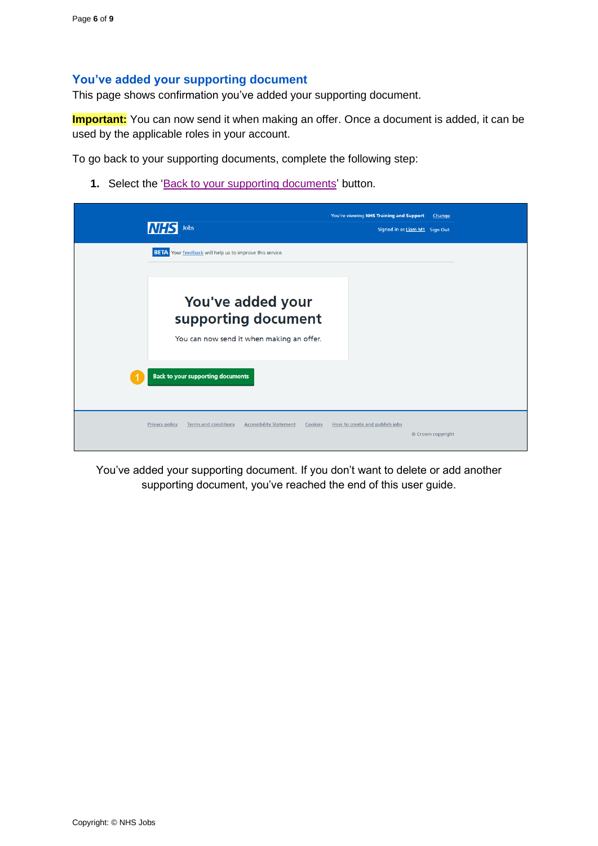#### <span id="page-5-0"></span>**You've added your supporting document**

This page shows confirmation you've added your supporting document.

**Important:** You can now send it when making an offer. Once a document is added, it can be used by the applicable roles in your account.

To go back to your supporting documents, complete the following step:

**1.** Select the ['Back to your supporting documents'](#page-6-0) button.

| <b>INHS</b><br>Jobs                                                                        | You're viewing NHS Training and Support<br>Signed in as Liam M1 Sign Out | Change            |
|--------------------------------------------------------------------------------------------|--------------------------------------------------------------------------|-------------------|
| <b>BETA</b> Your feedback will help us to improve this service.                            |                                                                          |                   |
| You've added your<br>supporting document<br>You can now send it when making an offer.      |                                                                          |                   |
| <b>Back to your supporting documents</b>                                                   |                                                                          |                   |
| Privacy policy<br><b>Terms and conditions</b><br><b>Accessibility Statement</b><br>Cookies | How to create and publish jobs                                           | © Crown copyright |

You've added your supporting document. If you don't want to delete or add another supporting document, you've reached the end of this user guide.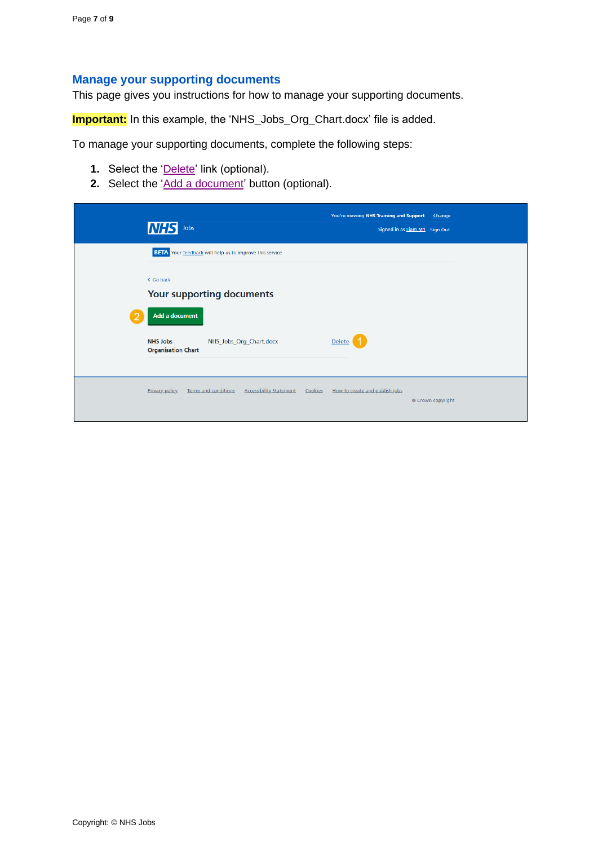#### <span id="page-6-0"></span>**Manage your supporting documents**

This page gives you instructions for how to manage your supporting documents.

**Important:** In this example, the 'NHS\_Jobs\_Org\_Chart.docx' file is added.

To manage your supporting documents, complete the following steps:

- **1.** Select the ['Delete'](#page-7-0) link (optional).
- **2.** Select the ['Add a document'](#page-4-0) button (optional).

|   | <b>NHS</b><br>Jobs                                                                                | You're viewing NHS Training and Support<br>Change<br>Signed in as Liam M1 Sign Out |
|---|---------------------------------------------------------------------------------------------------|------------------------------------------------------------------------------------|
|   | <b>BETA</b> Your feedback will help us to improve this service.                                   |                                                                                    |
|   | < Go back<br>Your supporting documents                                                            |                                                                                    |
| 2 | Add a document<br><b>NHS Jobs</b><br>NHS_Jobs_Org_Chart.docx<br><b>Organisation Chart</b>         | Delete                                                                             |
|   | <b>Privacy policy</b><br><b>Terms and conditions</b><br><b>Accessibility Statement</b><br>Cookies | How to create and publish jobs<br>© Crown copyright                                |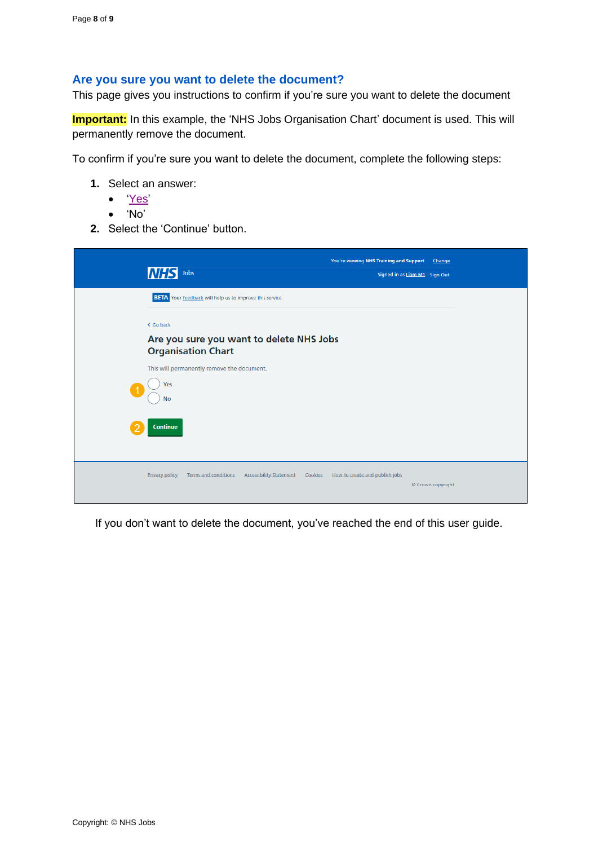#### <span id="page-7-0"></span>**Are you sure you want to delete the document?**

This page gives you instructions to confirm if you're sure you want to delete the document

**Important:** In this example, the 'NHS Jobs Organisation Chart' document is used. This will permanently remove the document.

To confirm if you're sure you want to delete the document, complete the following steps:

- **1.** Select an answer:
	- ['Yes'](#page-8-0)
	- 'No'
- **2.** Select the 'Continue' button.

| <b>INH</b><br>Jobs                                                                     | You're viewing NHS Training and Support<br>Change<br>Signed in as Liam M1 Sign Out |
|----------------------------------------------------------------------------------------|------------------------------------------------------------------------------------|
| <b>BETA</b> Your feedback will help us to improve this service.                        |                                                                                    |
| < Go back<br>Are you sure you want to delete NHS Jobs<br><b>Organisation Chart</b>     |                                                                                    |
| This will permanently remove the document.<br>Yes                                      |                                                                                    |
| <b>No</b><br><b>Continue</b>                                                           |                                                                                    |
|                                                                                        |                                                                                    |
| <b>Privacy policy</b><br><b>Terms and conditions</b><br><b>Accessibility Statement</b> | Cookies<br>How to create and publish jobs<br>© Crown copyright                     |

If you don't want to delete the document, you've reached the end of this user guide.